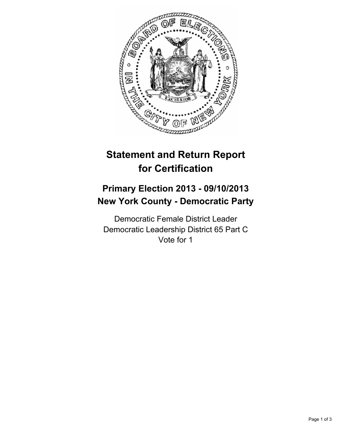

# **Statement and Return Report for Certification**

## **Primary Election 2013 - 09/10/2013 New York County - Democratic Party**

Democratic Female District Leader Democratic Leadership District 65 Part C Vote for 1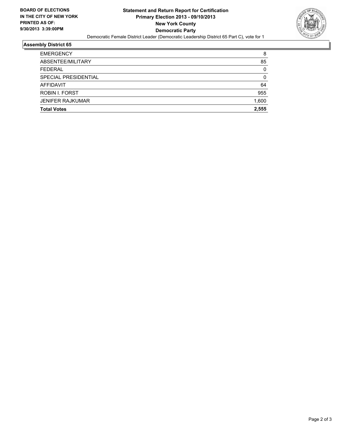

### **Assembly District 65**

| <b>Total Votes</b>      | 2.555 |
|-------------------------|-------|
| <b>JENIFER RAJKUMAR</b> | 1,600 |
| ROBIN I. FORST          | 955   |
| <b>AFFIDAVIT</b>        | 64    |
| SPECIAL PRESIDENTIAL    | 0     |
| <b>FEDERAL</b>          | 0     |
| ABSENTEE/MILITARY       | 85    |
| <b>EMERGENCY</b>        | 8     |
|                         |       |